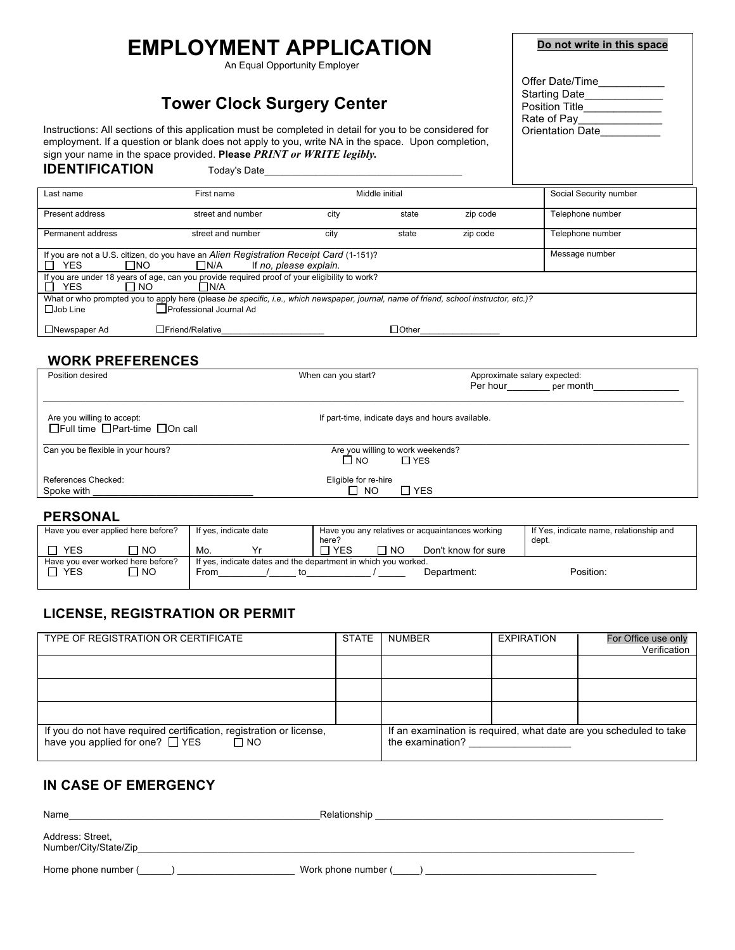# **EMPLOYMENT APPLICATION**

An Equal Opportunity Employer

## **Tower Clock Surgery Center**

Instructions: All sections of this application must be completed in detail for you to be considered for employment. If a question or blank does not apply to you, write NA in the space. Upon completion, sign your name in the space provided. **Please** *PRINT or WRITE legibly.*

|  | Do not write in this space |  |  |
|--|----------------------------|--|--|
|  |                            |  |  |

| Offer Date/Time         |
|-------------------------|
| <b>Starting Date</b>    |
| <b>Position Title</b>   |
| Rate of Pay             |
| <b>Orientation Date</b> |

#### Last name First name First name Middle initial Social Security number Present address street and number city state zip code Telephone number Permanent address street and number city state zip code Telephone number If you are not a U.S. citizen, do you have an *Alien Registration Receipt Card* (1-151)? Message number □ YES □ NO □ N/A If *no, please explain.* If you are under 18 years of age, can you provide required proof of your eligibility to work? YES NO N/A What or who prompted you to apply here (please *be specific, i.e., which newspaper, journal, name of friend, school instructor, etc.)?* Job Line **Professional Journal Ad** Newspaper Ad Friend/Relative\_\_\_\_\_\_\_\_\_\_\_\_\_\_\_\_\_\_\_\_\_\_ Other\_\_\_\_\_\_\_\_\_\_\_\_\_\_\_\_\_

#### **WORK PREFERENCES**

**IDENTIFICATION** Today's Date

| Position desired                                                               | When can you start?                              | Approximate salary expected:<br>Per hour the state of the state of the state of the state of the state of the state of the state of the state<br>per month |
|--------------------------------------------------------------------------------|--------------------------------------------------|------------------------------------------------------------------------------------------------------------------------------------------------------------|
| Are you willing to accept:<br>$\Box$ Full time $\Box$ Part-time $\Box$ On call | If part-time, indicate days and hours available. |                                                                                                                                                            |
| Can you be flexible in your hours?                                             | Are you willing to work weekends?                |                                                                                                                                                            |
|                                                                                | $\Box$ NO<br>$\Box$ YES                          |                                                                                                                                                            |
| References Checked:                                                            | Eligible for re-hire                             |                                                                                                                                                            |
| Spoke with                                                                     | $\Box$ NO<br>$\Box$ YES                          |                                                                                                                                                            |
|                                                                                |                                                  |                                                                                                                                                            |

#### **PERSONAL**

| Have you ever applied here before?<br>If yes, indicate date<br>here?                                |           | Have you any relatives or acquaintances working |  |  | If Yes, indicate name, relationship and<br>dept. |           |                     |           |
|-----------------------------------------------------------------------------------------------------|-----------|-------------------------------------------------|--|--|--------------------------------------------------|-----------|---------------------|-----------|
| <b>YES</b>                                                                                          | <b>NO</b> | Mo.                                             |  |  | $\Box$ YES                                       | $\neg$ NO | Don't know for sure |           |
| Have you ever worked here before?<br>If yes, indicate dates and the department in which you worked. |           |                                                 |  |  |                                                  |           |                     |           |
| <b>YES</b>                                                                                          | <b>NO</b> | From                                            |  |  |                                                  |           | Department:         | Position: |

#### **LICENSE, REGISTRATION OR PERMIT**

| TYPE OF REGISTRATION OR CERTIFICATE                                                                                 | <b>STATE</b> | <b>NUMBER</b>    | <b>EXPIRATION</b> | For Office use only<br>Verification                                |
|---------------------------------------------------------------------------------------------------------------------|--------------|------------------|-------------------|--------------------------------------------------------------------|
|                                                                                                                     |              |                  |                   |                                                                    |
|                                                                                                                     |              |                  |                   |                                                                    |
|                                                                                                                     |              |                  |                   |                                                                    |
| If you do not have required certification, registration or license,<br>have you applied for one? □ YES<br>$\Box$ NO |              | the examination? |                   | If an examination is required, what date are you scheduled to take |

#### **IN CASE OF EMERGENCY**

| Name                                      | Relationship        |
|-------------------------------------------|---------------------|
| Address: Street,<br>Number/City/State/Zip |                     |
| Home phone number (                       | Work phone number ( |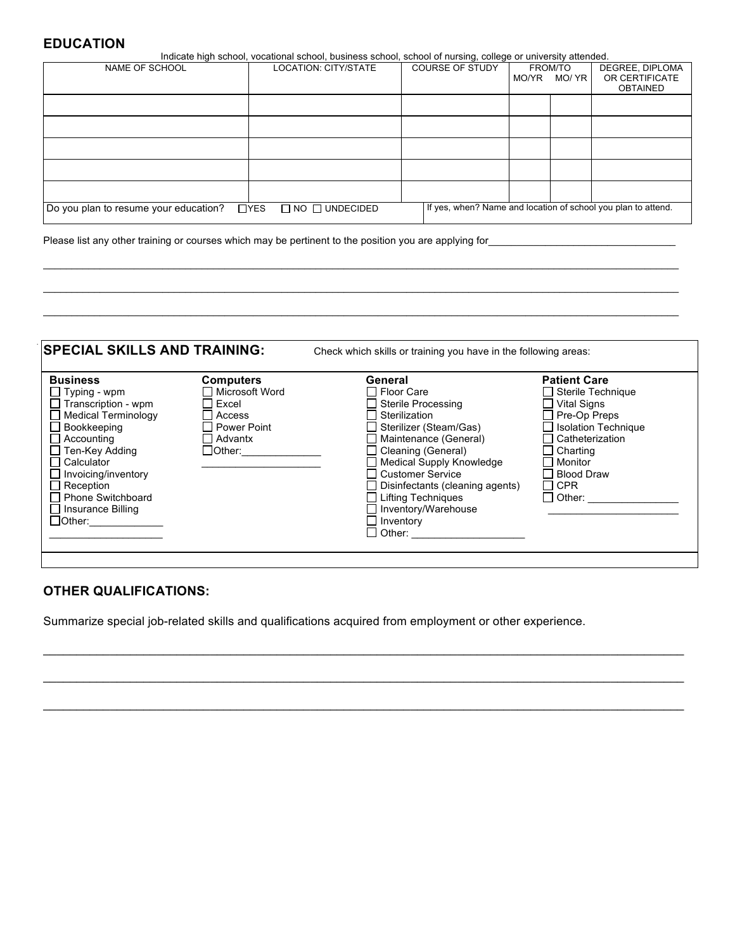#### **EDUCATION**

|                                             | Indicate high school, vocational school, business school, school of nursing, college or university attended. |                        |                 |                                                               |  |  |
|---------------------------------------------|--------------------------------------------------------------------------------------------------------------|------------------------|-----------------|---------------------------------------------------------------|--|--|
| NAME OF SCHOOL                              | <b>LOCATION: CITY/STATE</b>                                                                                  | <b>COURSE OF STUDY</b> | <b>FROM/TO</b>  | DEGREE, DIPLOMA                                               |  |  |
|                                             |                                                                                                              |                        | MO/ YR<br>MO/YR | OR CERTIFICATE                                                |  |  |
|                                             |                                                                                                              |                        |                 | <b>OBTAINED</b>                                               |  |  |
|                                             |                                                                                                              |                        |                 |                                                               |  |  |
|                                             |                                                                                                              |                        |                 |                                                               |  |  |
|                                             |                                                                                                              |                        |                 |                                                               |  |  |
|                                             |                                                                                                              |                        |                 |                                                               |  |  |
|                                             |                                                                                                              |                        |                 |                                                               |  |  |
|                                             |                                                                                                              |                        |                 |                                                               |  |  |
|                                             |                                                                                                              |                        |                 |                                                               |  |  |
|                                             |                                                                                                              |                        |                 |                                                               |  |  |
|                                             |                                                                                                              |                        |                 |                                                               |  |  |
|                                             |                                                                                                              |                        |                 |                                                               |  |  |
| Do you plan to resume your education? □ YES | $\Box$ NO $\Box$ UNDECIDED                                                                                   |                        |                 | If yes, when? Name and location of school you plan to attend. |  |  |
|                                             |                                                                                                              |                        |                 |                                                               |  |  |

\_\_\_\_\_\_\_\_\_\_\_\_\_\_\_\_\_\_\_\_\_\_\_\_\_\_\_\_\_\_\_\_\_\_\_\_\_\_\_\_\_\_\_\_\_\_\_\_\_\_\_\_\_\_\_\_\_\_\_\_\_\_\_\_\_\_\_\_\_\_\_\_\_\_\_\_\_\_\_\_\_\_\_\_\_\_\_\_\_\_\_\_\_\_\_\_\_\_\_\_\_\_\_\_\_\_\_\_\_\_\_\_  $\mathcal{L}_\mathcal{L} = \{ \mathcal{L}_\mathcal{L} = \{ \mathcal{L}_\mathcal{L} = \{ \mathcal{L}_\mathcal{L} = \{ \mathcal{L}_\mathcal{L} = \{ \mathcal{L}_\mathcal{L} = \{ \mathcal{L}_\mathcal{L} = \{ \mathcal{L}_\mathcal{L} = \{ \mathcal{L}_\mathcal{L} = \{ \mathcal{L}_\mathcal{L} = \{ \mathcal{L}_\mathcal{L} = \{ \mathcal{L}_\mathcal{L} = \{ \mathcal{L}_\mathcal{L} = \{ \mathcal{L}_\mathcal{L} = \{ \mathcal{L}_\mathcal{$ \_\_\_\_\_\_\_\_\_\_\_\_\_\_\_\_\_\_\_\_\_\_\_\_\_\_\_\_\_\_\_\_\_\_\_\_\_\_\_\_\_\_\_\_\_\_\_\_\_\_\_\_\_\_\_\_\_\_\_\_\_\_\_\_\_\_\_\_\_\_\_\_\_\_\_\_\_\_\_\_\_\_\_\_\_\_\_\_\_\_\_\_\_\_\_\_\_\_\_\_\_\_\_\_\_\_\_\_\_\_\_\_

Please list any other training or courses which may be pertinent to the position you are applying for\_\_\_\_

| <b>Business</b><br>$\Box$ Typing - wpm<br>$\Box$ Transcription - wpm<br><b>Medical Terminology</b><br>Bookkeeping<br>Accounting<br>□ Ten-Key Adding<br>Calculator<br>$\Box$ Invoicing/inventory<br>$\Box$ Reception<br>Phone Switchboard<br>$\Box$ Insurance Billing<br>$\Box$ Other: | <b>Computers</b><br>Microsoft Word<br>Excel<br>Access<br>Power Point<br><b>Advantx</b><br>$\Box$ Other: | General<br>Floor Care<br>Sterile Processing<br>Sterilization<br>Sterilizer (Steam/Gas)<br>Maintenance (General)<br>Cleaning (General)<br>Medical Supply Knowledge<br>□ Customer Service<br>Disinfectants (cleaning agents)<br>$\Box$ Lifting Techniques<br>$\Box$ Inventory/Warehouse | <b>Patient Care</b><br>□ Sterile Technique<br><b>Vital Signs</b><br>Pre-Op Preps<br><b>Isolation Technique</b><br>Catheterization<br>Charting<br>Monitor<br><b>Blood Draw</b><br><b>CPR</b><br>$\mathsf{L}$<br>Other: |
|---------------------------------------------------------------------------------------------------------------------------------------------------------------------------------------------------------------------------------------------------------------------------------------|---------------------------------------------------------------------------------------------------------|---------------------------------------------------------------------------------------------------------------------------------------------------------------------------------------------------------------------------------------------------------------------------------------|-----------------------------------------------------------------------------------------------------------------------------------------------------------------------------------------------------------------------|
|                                                                                                                                                                                                                                                                                       |                                                                                                         | Inventory<br>$\Box$ Other: ___________                                                                                                                                                                                                                                                |                                                                                                                                                                                                                       |

 $\mathcal{L}_\mathcal{L} = \{ \mathcal{L}_\mathcal{L} = \{ \mathcal{L}_\mathcal{L} = \{ \mathcal{L}_\mathcal{L} = \{ \mathcal{L}_\mathcal{L} = \{ \mathcal{L}_\mathcal{L} = \{ \mathcal{L}_\mathcal{L} = \{ \mathcal{L}_\mathcal{L} = \{ \mathcal{L}_\mathcal{L} = \{ \mathcal{L}_\mathcal{L} = \{ \mathcal{L}_\mathcal{L} = \{ \mathcal{L}_\mathcal{L} = \{ \mathcal{L}_\mathcal{L} = \{ \mathcal{L}_\mathcal{L} = \{ \mathcal{L}_\mathcal{$ 

 $\_$  , and the state of the state of the state of the state of the state of the state of the state of the state of the state of the state of the state of the state of the state of the state of the state of the state of the

\_\_\_\_\_\_\_\_\_\_\_\_\_\_\_\_\_\_\_\_\_\_\_\_\_\_\_\_\_\_\_\_\_\_\_\_\_\_\_\_\_\_\_\_\_\_\_\_\_\_\_\_\_\_\_\_\_\_\_\_\_\_\_\_\_\_\_\_\_\_\_\_\_\_\_\_\_\_\_\_\_\_\_\_\_\_\_\_\_\_\_\_\_\_\_\_

### **OTHER QUALIFICATIONS:**

Summarize special job-related skills and qualifications acquired from employment or other experience.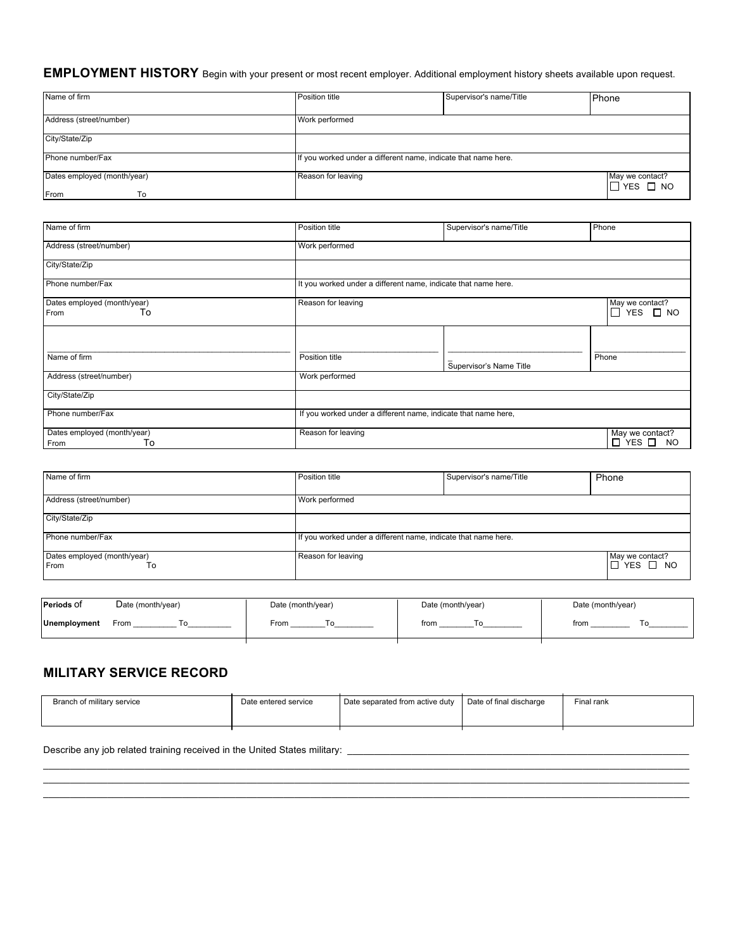#### **EMPLOYMENT HISTORY** Begin with your present or most recent employer. Additional employment history sheets available upon request.

| Name of firm                              | Position title                                                 | Supervisor's name/Title | Phone                                         |
|-------------------------------------------|----------------------------------------------------------------|-------------------------|-----------------------------------------------|
| Address (street/number)                   | Work performed                                                 |                         |                                               |
| City/State/Zip                            |                                                                |                         |                                               |
| Phone number/Fax                          | If you worked under a different name, indicate that name here. |                         |                                               |
| Dates employed (month/year)<br>From<br>To | Reason for leaving                                             |                         | May we contact?<br>$\square$ YES $\square$ NO |

| Name of firm                              | Position title                                                 | Supervisor's name/Title | Phone                                             |
|-------------------------------------------|----------------------------------------------------------------|-------------------------|---------------------------------------------------|
| Address (street/number)                   | Work performed                                                 |                         |                                                   |
| City/State/Zip                            |                                                                |                         |                                                   |
| Phone number/Fax                          | It you worked under a different name, indicate that name here. |                         |                                                   |
| Dates employed (month/year)<br>To<br>From | Reason for leaving                                             |                         | May we contact?<br>$YES \Box NO$<br>П             |
|                                           |                                                                |                         |                                                   |
| Name of firm                              | Position title                                                 | Supervisor's Name Title | Phone                                             |
| Address (street/number)                   | Work performed                                                 |                         |                                                   |
| City/State/Zip                            |                                                                |                         |                                                   |
| Phone number/Fax                          | If you worked under a different name, indicate that name here, |                         |                                                   |
| Dates employed (month/year)<br>To<br>From | Reason for leaving                                             |                         | May we contact?<br>$\Box$ YES $\Box$<br><b>NO</b> |

| Name of firm                              | Position title                                                 | Supervisor's name/Title | Phone                          |
|-------------------------------------------|----------------------------------------------------------------|-------------------------|--------------------------------|
| Address (street/number)                   | Work performed                                                 |                         |                                |
| City/State/Zip                            |                                                                |                         |                                |
| Phone number/Fax                          | If you worked under a different name, indicate that name here. |                         |                                |
| Dates employed (month/year)<br>From<br>То | Reason for leaving                                             |                         | May we contact?<br>I⊡́YES □ NO |

| <b>Periods Of</b> | Date (month/year) | Date (month/year) | Date (month/year) | Date (month/year) |
|-------------------|-------------------|-------------------|-------------------|-------------------|
| Unemployment      | From              | From              | from              | from              |
|                   |                   |                   |                   |                   |

#### **MILITARY SERVICE RECORD**

| Branch of military service | Date entered service | Date separated from active duty | Date of final discharge | <sup>⊏</sup> inal rank |
|----------------------------|----------------------|---------------------------------|-------------------------|------------------------|
|                            |                      |                                 |                         |                        |
|                            |                      |                                 |                         |                        |
|                            |                      |                                 |                         |                        |

 $\_$  , and the state of the state of the state of the state of the state of the state of the state of the state of the state of the state of the state of the state of the state of the state of the state of the state of the  $\_$  , and the set of the set of the set of the set of the set of the set of the set of the set of the set of the set of the set of the set of the set of the set of the set of the set of the set of the set of the set of th

Describe any job related training received in the United States military: \_\_\_\_\_\_\_\_\_\_\_\_\_\_\_\_\_\_\_\_\_\_\_\_\_\_\_\_\_\_\_\_\_\_\_\_\_\_\_\_\_\_\_\_\_\_\_\_\_\_\_\_\_\_\_\_\_\_\_\_\_\_\_\_